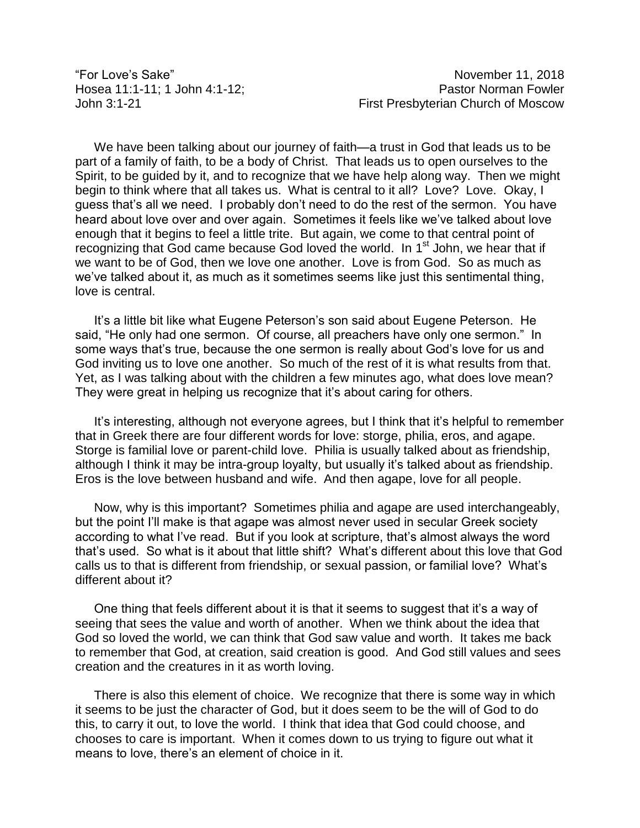We have been talking about our journey of faith—a trust in God that leads us to be part of a family of faith, to be a body of Christ. That leads us to open ourselves to the Spirit, to be guided by it, and to recognize that we have help along way. Then we might begin to think where that all takes us. What is central to it all? Love? Love. Okay, I guess that's all we need. I probably don't need to do the rest of the sermon. You have heard about love over and over again. Sometimes it feels like we've talked about love enough that it begins to feel a little trite. But again, we come to that central point of recognizing that God came because God loved the world. In 1<sup>st</sup> John, we hear that if we want to be of God, then we love one another. Love is from God. So as much as we've talked about it, as much as it sometimes seems like just this sentimental thing, love is central.

It's a little bit like what Eugene Peterson's son said about Eugene Peterson. He said, "He only had one sermon. Of course, all preachers have only one sermon." In some ways that's true, because the one sermon is really about God's love for us and God inviting us to love one another. So much of the rest of it is what results from that. Yet, as I was talking about with the children a few minutes ago, what does love mean? They were great in helping us recognize that it's about caring for others.

It's interesting, although not everyone agrees, but I think that it's helpful to remember that in Greek there are four different words for love: storge, philia, eros, and agape. Storge is familial love or parent-child love. Philia is usually talked about as friendship, although I think it may be intra-group loyalty, but usually it's talked about as friendship. Eros is the love between husband and wife. And then agape, love for all people.

Now, why is this important? Sometimes philia and agape are used interchangeably, but the point I'll make is that agape was almost never used in secular Greek society according to what I've read. But if you look at scripture, that's almost always the word that's used. So what is it about that little shift? What's different about this love that God calls us to that is different from friendship, or sexual passion, or familial love? What's different about it?

One thing that feels different about it is that it seems to suggest that it's a way of seeing that sees the value and worth of another. When we think about the idea that God so loved the world, we can think that God saw value and worth. It takes me back to remember that God, at creation, said creation is good. And God still values and sees creation and the creatures in it as worth loving.

There is also this element of choice. We recognize that there is some way in which it seems to be just the character of God, but it does seem to be the will of God to do this, to carry it out, to love the world. I think that idea that God could choose, and chooses to care is important. When it comes down to us trying to figure out what it means to love, there's an element of choice in it.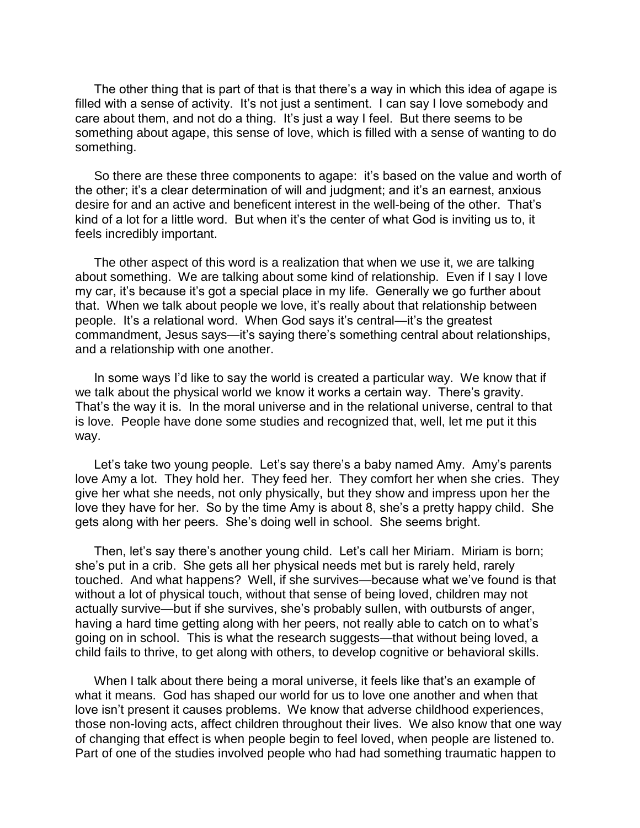The other thing that is part of that is that there's a way in which this idea of agape is filled with a sense of activity. It's not just a sentiment. I can say I love somebody and care about them, and not do a thing. It's just a way I feel. But there seems to be something about agape, this sense of love, which is filled with a sense of wanting to do something.

So there are these three components to agape: it's based on the value and worth of the other; it's a clear determination of will and judgment; and it's an earnest, anxious desire for and an active and beneficent interest in the well-being of the other. That's kind of a lot for a little word. But when it's the center of what God is inviting us to, it feels incredibly important.

The other aspect of this word is a realization that when we use it, we are talking about something. We are talking about some kind of relationship. Even if I say I love my car, it's because it's got a special place in my life. Generally we go further about that. When we talk about people we love, it's really about that relationship between people. It's a relational word. When God says it's central—it's the greatest commandment, Jesus says—it's saying there's something central about relationships, and a relationship with one another.

In some ways I'd like to say the world is created a particular way. We know that if we talk about the physical world we know it works a certain way. There's gravity. That's the way it is. In the moral universe and in the relational universe, central to that is love. People have done some studies and recognized that, well, let me put it this way.

Let's take two young people. Let's say there's a baby named Amy. Amy's parents love Amy a lot. They hold her. They feed her. They comfort her when she cries. They give her what she needs, not only physically, but they show and impress upon her the love they have for her. So by the time Amy is about 8, she's a pretty happy child. She gets along with her peers. She's doing well in school. She seems bright.

Then, let's say there's another young child. Let's call her Miriam. Miriam is born; she's put in a crib. She gets all her physical needs met but is rarely held, rarely touched. And what happens? Well, if she survives—because what we've found is that without a lot of physical touch, without that sense of being loved, children may not actually survive—but if she survives, she's probably sullen, with outbursts of anger, having a hard time getting along with her peers, not really able to catch on to what's going on in school. This is what the research suggests—that without being loved, a child fails to thrive, to get along with others, to develop cognitive or behavioral skills.

When I talk about there being a moral universe, it feels like that's an example of what it means. God has shaped our world for us to love one another and when that love isn't present it causes problems. We know that adverse childhood experiences, those non-loving acts, affect children throughout their lives. We also know that one way of changing that effect is when people begin to feel loved, when people are listened to. Part of one of the studies involved people who had had something traumatic happen to